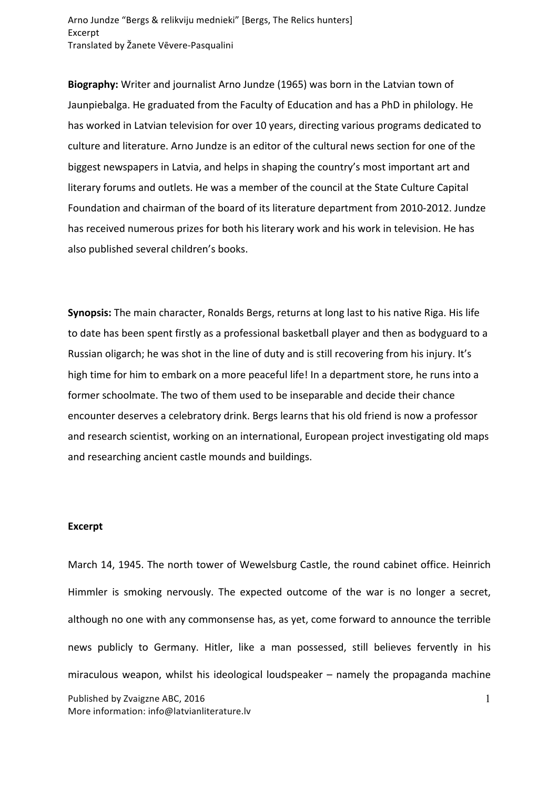Arno Jundze "Bergs & relikviju mednieki" [Bergs, The Relics hunters] Excerpt Translated by Žanete Vēvere-Pasqualini

**Biography:** Writer and journalist Arno Jundze (1965) was born in the Latvian town of Jaunpiebalga. He graduated from the Faculty of Education and has a PhD in philology. He has worked in Latvian television for over 10 years, directing various programs dedicated to culture and literature. Arno Jundze is an editor of the cultural news section for one of the biggest newspapers in Latvia, and helps in shaping the country's most important art and literary forums and outlets. He was a member of the council at the State Culture Capital Foundation and chairman of the board of its literature department from 2010-2012. Jundze has received numerous prizes for both his literary work and his work in television. He has also published several children's books.

**Synopsis:** The main character, Ronalds Bergs, returns at long last to his native Riga. His life to date has been spent firstly as a professional basketball player and then as bodyguard to a Russian oligarch; he was shot in the line of duty and is still recovering from his injury. It's high time for him to embark on a more peaceful life! In a department store, he runs into a former schoolmate. The two of them used to be inseparable and decide their chance encounter deserves a celebratory drink. Bergs learns that his old friend is now a professor and research scientist, working on an international, European project investigating old maps and researching ancient castle mounds and buildings.

## **Excerpt**

Published by Zvaigzne ABC, 2016 More information: info@latvianliterature.lv 1 March 14, 1945. The north tower of Wewelsburg Castle, the round cabinet office. Heinrich Himmler is smoking nervously. The expected outcome of the war is no longer a secret, although no one with any commonsense has, as yet, come forward to announce the terrible news publicly to Germany. Hitler, like a man possessed, still believes fervently in his miraculous weapon, whilst his ideological loudspeaker  $-$  namely the propaganda machine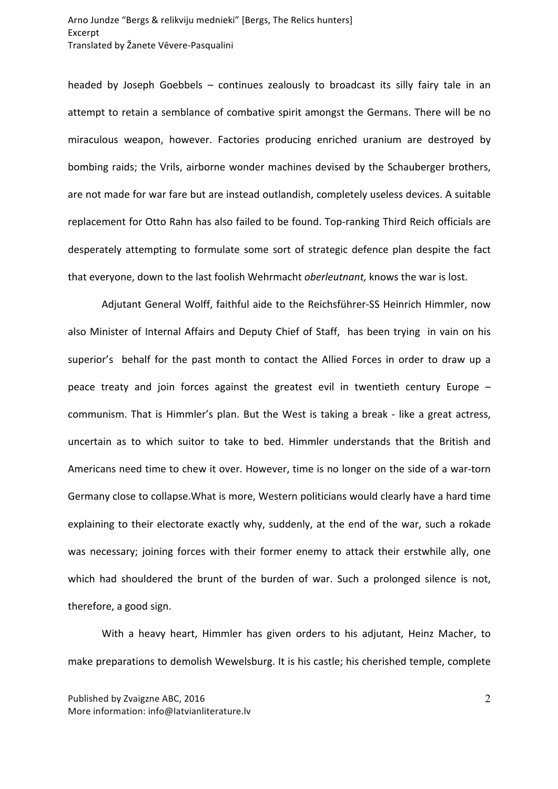headed by Joseph Goebbels  $-$  continues zealously to broadcast its silly fairy tale in an attempt to retain a semblance of combative spirit amongst the Germans. There will be no miraculous weapon, however. Factories producing enriched uranium are destroyed by bombing raids; the Vrils, airborne wonder machines devised by the Schauberger brothers, are not made for war fare but are instead outlandish, completely useless devices. A suitable replacement for Otto Rahn has also failed to be found. Top-ranking Third Reich officials are desperately attempting to formulate some sort of strategic defence plan despite the fact that everyone, down to the last foolish Wehrmacht *oberleutnant*, knows the war is lost.

Adjutant General Wolff, faithful aide to the Reichsführer-SS Heinrich Himmler, now also Minister of Internal Affairs and Deputy Chief of Staff, has been trying in vain on his superior's behalf for the past month to contact the Allied Forces in order to draw up a peace treaty and join forces against the greatest evil in twentieth century Europe  $$ communism. That is Himmler's plan. But the West is taking a break - like a great actress, uncertain as to which suitor to take to bed. Himmler understands that the British and Americans need time to chew it over. However, time is no longer on the side of a war-torn Germany close to collapse. What is more, Western politicians would clearly have a hard time explaining to their electorate exactly why, suddenly, at the end of the war, such a rokade was necessary; joining forces with their former enemy to attack their erstwhile ally, one which had shouldered the brunt of the burden of war. Such a prolonged silence is not, therefore, a good sign.

With a heavy heart, Himmler has given orders to his adjutant, Heinz Macher, to make preparations to demolish Wewelsburg. It is his castle; his cherished temple, complete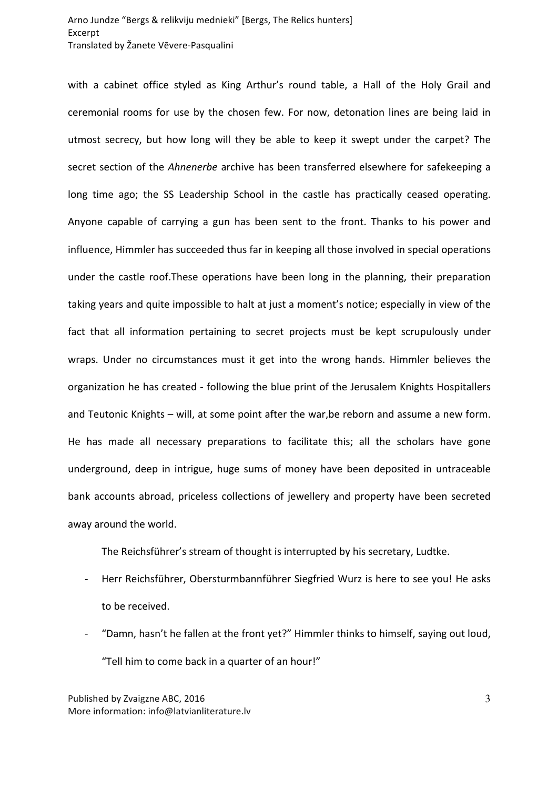with a cabinet office styled as King Arthur's round table, a Hall of the Holy Grail and ceremonial rooms for use by the chosen few. For now, detonation lines are being laid in utmost secrecy, but how long will they be able to keep it swept under the carpet? The secret section of the *Ahnenerbe* archive has been transferred elsewhere for safekeeping a long time ago; the SS Leadership School in the castle has practically ceased operating. Anyone capable of carrying a gun has been sent to the front. Thanks to his power and influence, Himmler has succeeded thus far in keeping all those involved in special operations under the castle roof. These operations have been long in the planning, their preparation taking years and quite impossible to halt at just a moment's notice; especially in view of the fact that all information pertaining to secret projects must be kept scrupulously under wraps. Under no circumstances must it get into the wrong hands. Himmler believes the organization he has created - following the blue print of the Jerusalem Knights Hospitallers and Teutonic Knights – will, at some point after the war, be reborn and assume a new form. He has made all necessary preparations to facilitate this; all the scholars have gone underground, deep in intrigue, huge sums of money have been deposited in untraceable bank accounts abroad, priceless collections of jewellery and property have been secreted away around the world.

The Reichsführer's stream of thought is interrupted by his secretary, Ludtke.

- Herr Reichsführer, Obersturmbannführer Siegfried Wurz is here to see you! He asks to be received.
- "Damn, hasn't he fallen at the front yet?" Himmler thinks to himself, saying out loud, "Tell him to come back in a quarter of an hour!"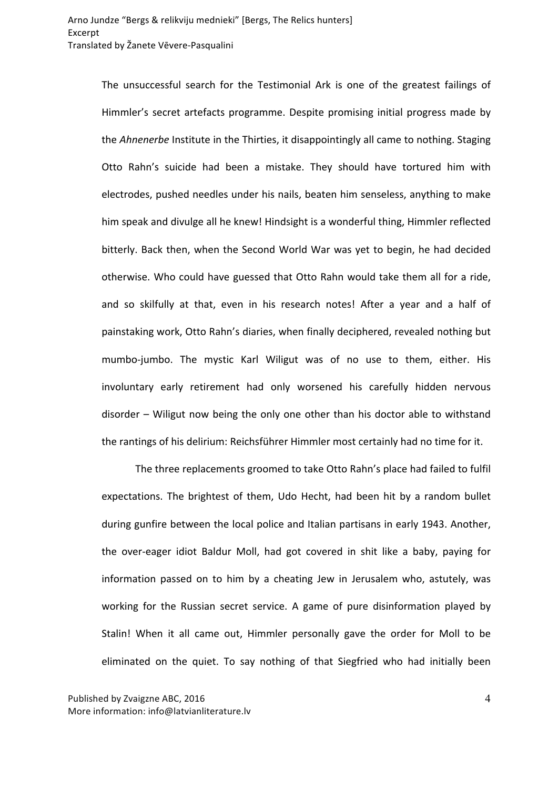The unsuccessful search for the Testimonial Ark is one of the greatest failings of Himmler's secret artefacts programme. Despite promising initial progress made by the *Ahnenerbe* Institute in the Thirties, it disappointingly all came to nothing. Staging Otto Rahn's suicide had been a mistake. They should have tortured him with electrodes, pushed needles under his nails, beaten him senseless, anything to make him speak and divulge all he knew! Hindsight is a wonderful thing, Himmler reflected bitterly. Back then, when the Second World War was yet to begin, he had decided otherwise. Who could have guessed that Otto Rahn would take them all for a ride, and so skilfully at that, even in his research notes! After a year and a half of painstaking work, Otto Rahn's diaries, when finally deciphered, revealed nothing but mumbo-jumbo. The mystic Karl Wiligut was of no use to them, either. His involuntary early retirement had only worsened his carefully hidden nervous disorder - Wiligut now being the only one other than his doctor able to withstand the rantings of his delirium: Reichsführer Himmler most certainly had no time for it.

The three replacements groomed to take Otto Rahn's place had failed to fulfil expectations. The brightest of them, Udo Hecht, had been hit by a random bullet during gunfire between the local police and Italian partisans in early 1943. Another, the over-eager idiot Baldur Moll, had got covered in shit like a baby, paying for information passed on to him by a cheating Jew in Jerusalem who, astutely, was working for the Russian secret service. A game of pure disinformation played by Stalin! When it all came out, Himmler personally gave the order for Moll to be eliminated on the quiet. To say nothing of that Siegfried who had initially been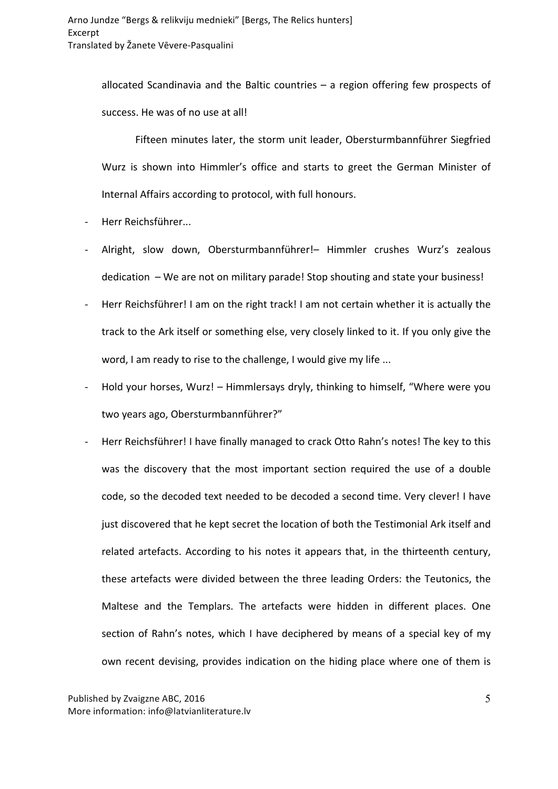allocated Scandinavia and the Baltic countries  $-$  a region offering few prospects of success. He was of no use at all!

Fifteen minutes later, the storm unit leader, Obersturmbannführer Siegfried Wurz is shown into Himmler's office and starts to greet the German Minister of Internal Affairs according to protocol, with full honours.

- Herr Reichsführer...
- Alright, slow down, Obersturmbannführer!- Himmler crushes Wurz's zealous dedication  $-$  We are not on military parade! Stop shouting and state your business!
- Herr Reichsführer! I am on the right track! I am not certain whether it is actually the track to the Ark itself or something else, very closely linked to it. If you only give the word, I am ready to rise to the challenge, I would give my life ...
- Hold your horses, Wurz! Himmlersays dryly, thinking to himself, "Where were you two years ago, Obersturmbannführer?"
- Herr Reichsführer! I have finally managed to crack Otto Rahn's notes! The key to this was the discovery that the most important section required the use of a double code, so the decoded text needed to be decoded a second time. Very clever! I have just discovered that he kept secret the location of both the Testimonial Ark itself and related artefacts. According to his notes it appears that, in the thirteenth century, these artefacts were divided between the three leading Orders: the Teutonics, the Maltese and the Templars. The artefacts were hidden in different places. One section of Rahn's notes, which I have deciphered by means of a special key of my own recent devising, provides indication on the hiding place where one of them is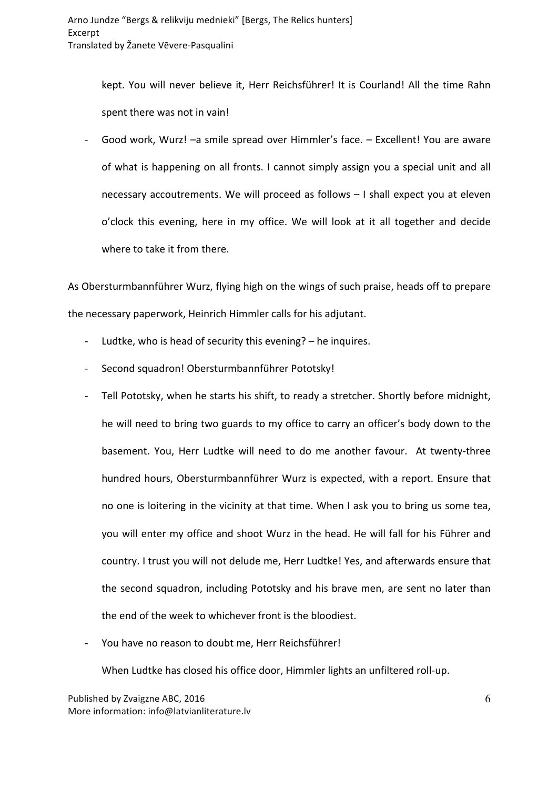kept. You will never believe it, Herr Reichsführer! It is Courland! All the time Rahn spent there was not in vain!

- Good work, Wurz! -a smile spread over Himmler's face. - Excellent! You are aware of what is happening on all fronts. I cannot simply assign you a special unit and all necessary accoutrements. We will proceed as follows  $-1$  shall expect you at eleven o'clock this evening, here in my office. We will look at it all together and decide where to take it from there.

As Obersturmbannführer Wurz, flying high on the wings of such praise, heads off to prepare the necessary paperwork, Heinrich Himmler calls for his adjutant.

- Ludtke, who is head of security this evening?  $-$  he inquires.
- Second squadron! Obersturmbannführer Pototsky!
- Tell Pototsky, when he starts his shift, to ready a stretcher. Shortly before midnight, he will need to bring two guards to my office to carry an officer's body down to the basement. You, Herr Ludtke will need to do me another favour. At twenty-three hundred hours, Obersturmbannführer Wurz is expected, with a report. Ensure that no one is loitering in the vicinity at that time. When I ask you to bring us some tea, you will enter my office and shoot Wurz in the head. He will fall for his Führer and country. I trust you will not delude me, Herr Ludtke! Yes, and afterwards ensure that the second squadron, including Pototsky and his brave men, are sent no later than the end of the week to whichever front is the bloodiest.
- You have no reason to doubt me, Herr Reichsführer!

When Ludtke has closed his office door, Himmler lights an unfiltered roll-up.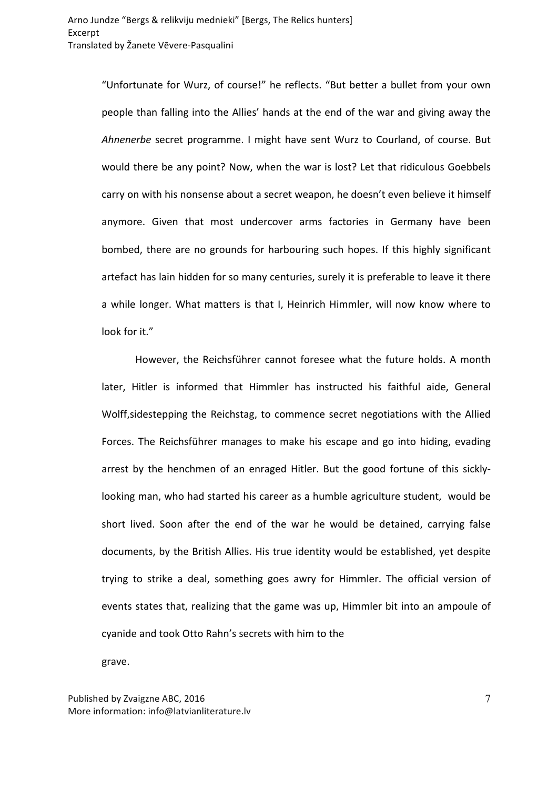"Unfortunate for Wurz, of course!" he reflects. "But better a bullet from your own people than falling into the Allies' hands at the end of the war and giving away the *Ahnenerbe* secret programme. I might have sent Wurz to Courland, of course. But would there be any point? Now, when the war is lost? Let that ridiculous Goebbels carry on with his nonsense about a secret weapon, he doesn't even believe it himself anymore. Given that most undercover arms factories in Germany have been bombed, there are no grounds for harbouring such hopes. If this highly significant artefact has lain hidden for so many centuries, surely it is preferable to leave it there a while longer. What matters is that I. Heinrich Himmler, will now know where to look for it."

However, the Reichsführer cannot foresee what the future holds. A month later, Hitler is informed that Himmler has instructed his faithful aide, General Wolff, sidestepping the Reichstag, to commence secret negotiations with the Allied Forces. The Reichsführer manages to make his escape and go into hiding, evading arrest by the henchmen of an enraged Hitler. But the good fortune of this sicklylooking man, who had started his career as a humble agriculture student, would be short lived. Soon after the end of the war he would be detained, carrying false documents, by the British Allies. His true identity would be established, yet despite trying to strike a deal, something goes awry for Himmler. The official version of events states that, realizing that the game was up, Himmler bit into an ampoule of cyanide and took Otto Rahn's secrets with him to the

grave.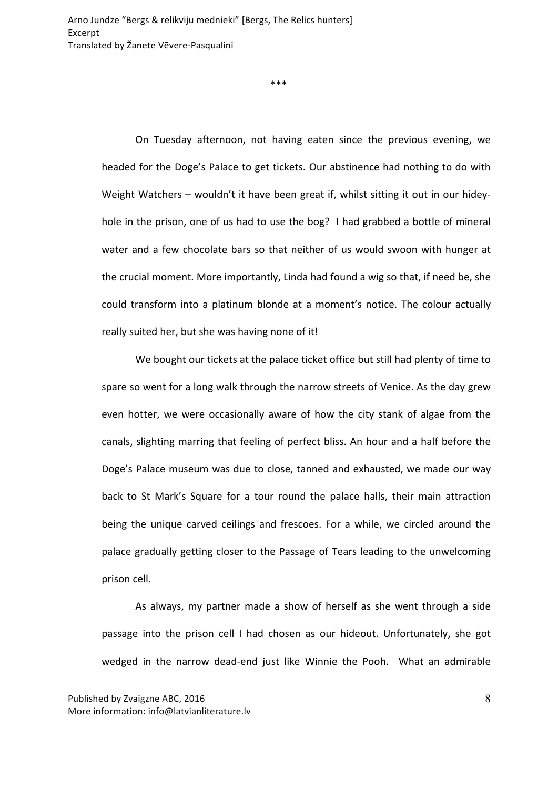\*\*\*

On Tuesday afternoon, not having eaten since the previous evening, we headed for the Doge's Palace to get tickets. Our abstinence had nothing to do with Weight Watchers – wouldn't it have been great if, whilst sitting it out in our hideyhole in the prison, one of us had to use the bog? I had grabbed a bottle of mineral water and a few chocolate bars so that neither of us would swoon with hunger at the crucial moment. More importantly, Linda had found a wig so that, if need be, she could transform into a platinum blonde at a moment's notice. The colour actually really suited her, but she was having none of it!

We bought our tickets at the palace ticket office but still had plenty of time to spare so went for a long walk through the narrow streets of Venice. As the day grew even hotter, we were occasionally aware of how the city stank of algae from the canals, slighting marring that feeling of perfect bliss. An hour and a half before the Doge's Palace museum was due to close, tanned and exhausted, we made our way back to St Mark's Square for a tour round the palace halls, their main attraction being the unique carved ceilings and frescoes. For a while, we circled around the palace gradually getting closer to the Passage of Tears leading to the unwelcoming prison cell.

As always, my partner made a show of herself as she went through a side passage into the prison cell I had chosen as our hideout. Unfortunately, she got wedged in the narrow dead-end just like Winnie the Pooh. What an admirable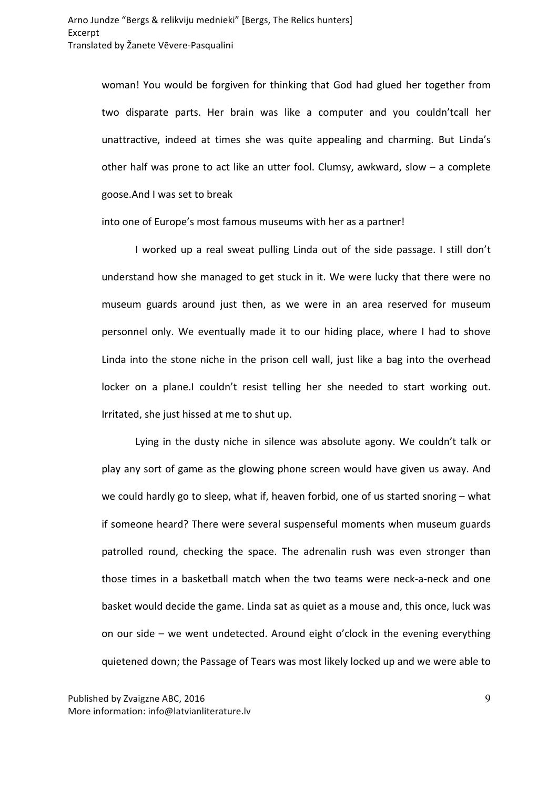woman! You would be forgiven for thinking that God had glued her together from two disparate parts. Her brain was like a computer and you couldn'tcall her unattractive, indeed at times she was quite appealing and charming. But Linda's other half was prone to act like an utter fool. Clumsy, awkward, slow  $-$  a complete goose. And I was set to break

into one of Europe's most famous museums with her as a partner!

I worked up a real sweat pulling Linda out of the side passage. I still don't understand how she managed to get stuck in it. We were lucky that there were no museum guards around just then, as we were in an area reserved for museum personnel only. We eventually made it to our hiding place, where I had to shove Linda into the stone niche in the prison cell wall, just like a bag into the overhead locker on a plane.I couldn't resist telling her she needed to start working out. Irritated, she just hissed at me to shut up.

Lying in the dusty niche in silence was absolute agony. We couldn't talk or play any sort of game as the glowing phone screen would have given us away. And we could hardly go to sleep, what if, heaven forbid, one of us started snoring  $-$  what if someone heard? There were several suspenseful moments when museum guards patrolled round, checking the space. The adrenalin rush was even stronger than those times in a basketball match when the two teams were neck-a-neck and one basket would decide the game. Linda sat as quiet as a mouse and, this once, luck was on our side – we went undetected. Around eight o'clock in the evening everything quietened down; the Passage of Tears was most likely locked up and we were able to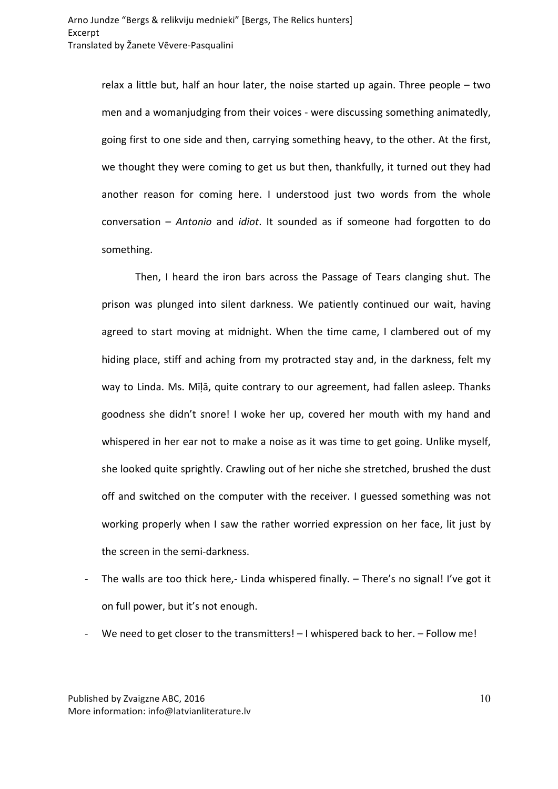relax a little but, half an hour later, the noise started up again. Three people  $-$  two men and a womanjudging from their voices - were discussing something animatedly, going first to one side and then, carrying something heavy, to the other. At the first, we thought they were coming to get us but then, thankfully, it turned out they had another reason for coming here. I understood just two words from the whole conversation - Antonio and *idiot*. It sounded as if someone had forgotten to do something. 

Then, I heard the iron bars across the Passage of Tears clanging shut. The prison was plunged into silent darkness. We patiently continued our wait, having agreed to start moving at midnight. When the time came, I clambered out of my hiding place, stiff and aching from my protracted stay and, in the darkness, felt my way to Linda. Ms. Mīļā, quite contrary to our agreement, had fallen asleep. Thanks goodness she didn't snore! I woke her up, covered her mouth with my hand and whispered in her ear not to make a noise as it was time to get going. Unlike myself, she looked quite sprightly. Crawling out of her niche she stretched, brushed the dust off and switched on the computer with the receiver. I guessed something was not working properly when I saw the rather worried expression on her face, lit just by the screen in the semi-darkness.

- The walls are too thick here,- Linda whispered finally.  $-$  There's no signal! I've got it on full power, but it's not enough.
- We need to get closer to the transmitters!  $-1$  whispered back to her.  $-$  Follow me!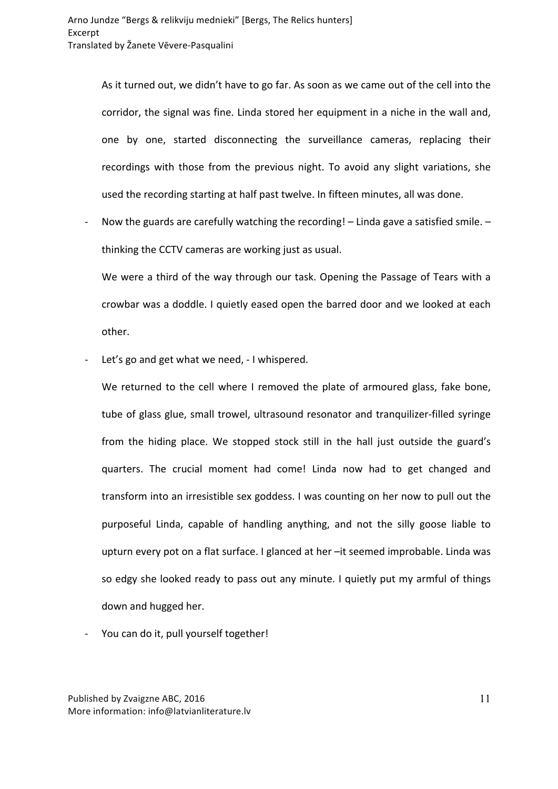As it turned out, we didn't have to go far. As soon as we came out of the cell into the corridor, the signal was fine. Linda stored her equipment in a niche in the wall and, one by one, started disconnecting the surveillance cameras, replacing their recordings with those from the previous night. To avoid any slight variations, she used the recording starting at half past twelve. In fifteen minutes, all was done.

- Now the guards are carefully watching the recording! – Linda gave a satisfied smile. – thinking the CCTV cameras are working just as usual.

We were a third of the way through our task. Opening the Passage of Tears with a crowbar was a doddle. I quietly eased open the barred door and we looked at each other. 

Let's go and get what we need, - I whispered.

We returned to the cell where I removed the plate of armoured glass, fake bone, tube of glass glue, small trowel, ultrasound resonator and tranquilizer-filled syringe from the hiding place. We stopped stock still in the hall just outside the guard's quarters. The crucial moment had come! Linda now had to get changed and transform into an irresistible sex goddess. I was counting on her now to pull out the purposeful Linda, capable of handling anything, and not the silly goose liable to upturn every pot on a flat surface. I glanced at her -it seemed improbable. Linda was so edgy she looked ready to pass out any minute. I quietly put my armful of things down and hugged her.

You can do it, pull yourself together!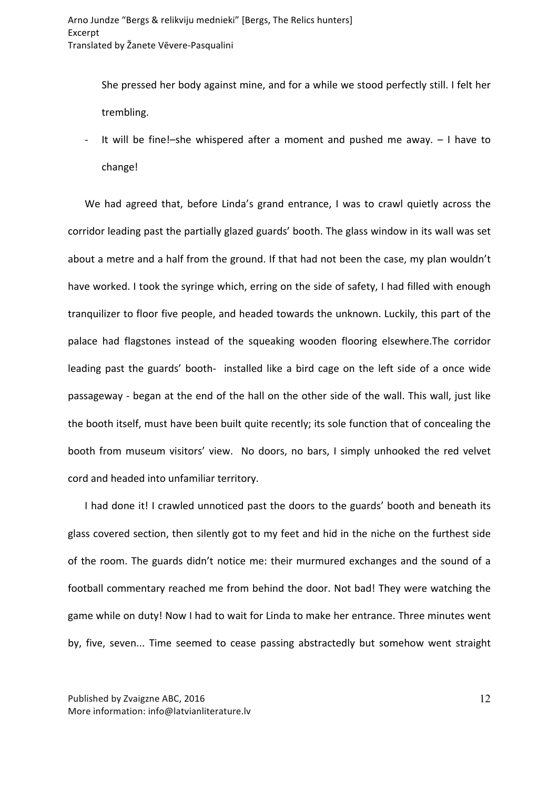She pressed her body against mine, and for a while we stood perfectly still. I felt her trembling. 

- It will be fine!-she whispered after a moment and pushed me away. - I have to change!

We had agreed that, before Linda's grand entrance, I was to crawl quietly across the corridor leading past the partially glazed guards' booth. The glass window in its wall was set about a metre and a half from the ground. If that had not been the case, my plan wouldn't have worked. I took the syringe which, erring on the side of safety, I had filled with enough tranquilizer to floor five people, and headed towards the unknown. Luckily, this part of the palace had flagstones instead of the squeaking wooden flooring elsewhere.The corridor leading past the guards' booth- installed like a bird cage on the left side of a once wide passageway - began at the end of the hall on the other side of the wall. This wall, just like the booth itself, must have been built quite recently; its sole function that of concealing the booth from museum visitors' view. No doors, no bars, I simply unhooked the red velvet cord and headed into unfamiliar territory.

I had done it! I crawled unnoticed past the doors to the guards' booth and beneath its glass covered section, then silently got to my feet and hid in the niche on the furthest side of the room. The guards didn't notice me: their murmured exchanges and the sound of a football commentary reached me from behind the door. Not bad! They were watching the game while on duty! Now I had to wait for Linda to make her entrance. Three minutes went by, five, seven... Time seemed to cease passing abstractedly but somehow went straight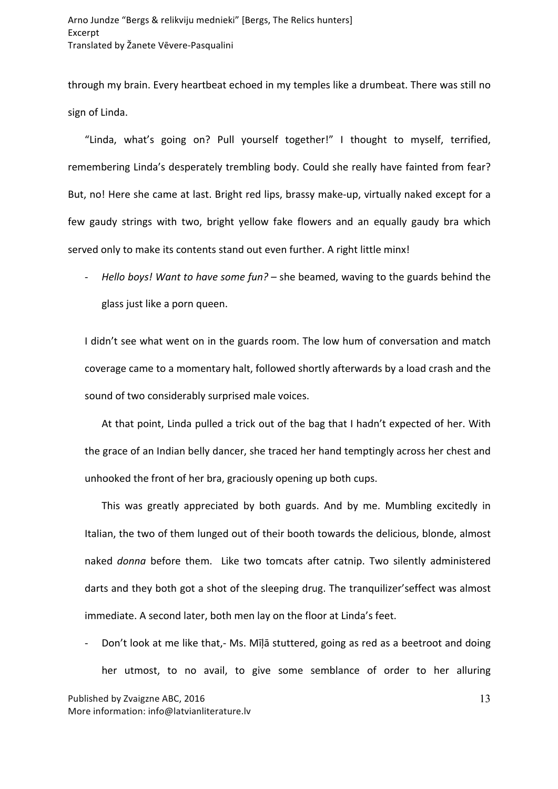through my brain. Every heartbeat echoed in my temples like a drumbeat. There was still no sign of Linda.

"Linda, what's going on? Pull yourself together!" I thought to myself, terrified, remembering Linda's desperately trembling body. Could she really have fainted from fear? But, no! Here she came at last. Bright red lips, brassy make-up, virtually naked except for a few gaudy strings with two, bright yellow fake flowers and an equally gaudy bra which served only to make its contents stand out even further. A right little minx!

- *Hello boys!* Want to have some fun? – she beamed, waving to the guards behind the glass just like a porn queen.

I didn't see what went on in the guards room. The low hum of conversation and match coverage came to a momentary halt, followed shortly afterwards by a load crash and the sound of two considerably surprised male voices.

At that point, Linda pulled a trick out of the bag that I hadn't expected of her. With the grace of an Indian belly dancer, she traced her hand temptingly across her chest and unhooked the front of her bra, graciously opening up both cups.

This was greatly appreciated by both guards. And by me. Mumbling excitedly in Italian, the two of them lunged out of their booth towards the delicious, blonde, almost naked *donna* before them. Like two tomcats after catnip. Two silently administered darts and they both got a shot of the sleeping drug. The tranquilizer's effect was almost immediate. A second later, both men lay on the floor at Linda's feet.

Don't look at me like that,- Ms. Mīļā stuttered, going as red as a beetroot and doing her utmost, to no avail, to give some semblance of order to her alluring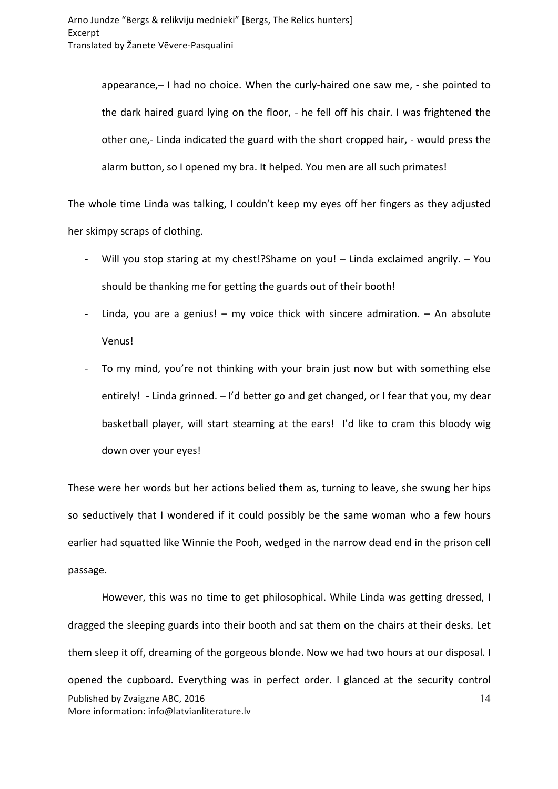appearance,– I had no choice. When the curly-haired one saw me, - she pointed to the dark haired guard lying on the floor, - he fell off his chair. I was frightened the other one,- Linda indicated the guard with the short cropped hair, - would press the alarm button, so I opened my bra. It helped. You men are all such primates!

The whole time Linda was talking, I couldn't keep my eyes off her fingers as they adjusted her skimpy scraps of clothing.

- Will you stop staring at my chest!?Shame on you! Linda exclaimed angrily. You should be thanking me for getting the guards out of their booth!
- Linda, you are a genius!  $-$  my voice thick with sincere admiration.  $-$  An absolute Venus!
- To my mind, you're not thinking with your brain just now but with something else entirely! - Linda grinned.  $-1$ 'd better go and get changed, or I fear that you, my dear basketball player, will start steaming at the ears! I'd like to cram this bloody wig down over your eyes!

These were her words but her actions belied them as, turning to leave, she swung her hips so seductively that I wondered if it could possibly be the same woman who a few hours earlier had squatted like Winnie the Pooh, wedged in the narrow dead end in the prison cell passage. 

Published by Zvaigzne ABC, 2016 More information: info@latvianliterature.lv 14 However, this was no time to get philosophical. While Linda was getting dressed, I dragged the sleeping guards into their booth and sat them on the chairs at their desks. Let them sleep it off, dreaming of the gorgeous blonde. Now we had two hours at our disposal. I opened the cupboard. Everything was in perfect order. I glanced at the security control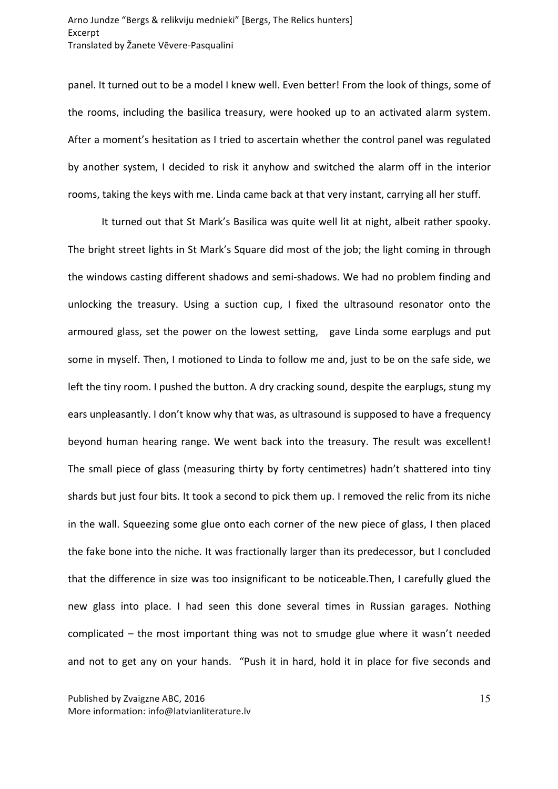panel. It turned out to be a model I knew well. Even better! From the look of things, some of the rooms, including the basilica treasury, were hooked up to an activated alarm system. After a moment's hesitation as I tried to ascertain whether the control panel was regulated by another system, I decided to risk it anyhow and switched the alarm off in the interior rooms, taking the keys with me. Linda came back at that very instant, carrying all her stuff.

It turned out that St Mark's Basilica was quite well lit at night, albeit rather spooky. The bright street lights in St Mark's Square did most of the job; the light coming in through the windows casting different shadows and semi-shadows. We had no problem finding and unlocking the treasury. Using a suction cup, I fixed the ultrasound resonator onto the armoured glass, set the power on the lowest setting, gave Linda some earplugs and put some in myself. Then, I motioned to Linda to follow me and, just to be on the safe side, we left the tiny room. I pushed the button. A dry cracking sound, despite the earplugs, stung my ears unpleasantly. I don't know why that was, as ultrasound is supposed to have a frequency beyond human hearing range. We went back into the treasury. The result was excellent! The small piece of glass (measuring thirty by forty centimetres) hadn't shattered into tiny shards but just four bits. It took a second to pick them up. I removed the relic from its niche in the wall. Squeezing some glue onto each corner of the new piece of glass, I then placed the fake bone into the niche. It was fractionally larger than its predecessor, but I concluded that the difference in size was too insignificant to be noticeable. Then, I carefully glued the new glass into place. I had seen this done several times in Russian garages. Nothing complicated  $-$  the most important thing was not to smudge glue where it wasn't needed and not to get any on your hands. "Push it in hard, hold it in place for five seconds and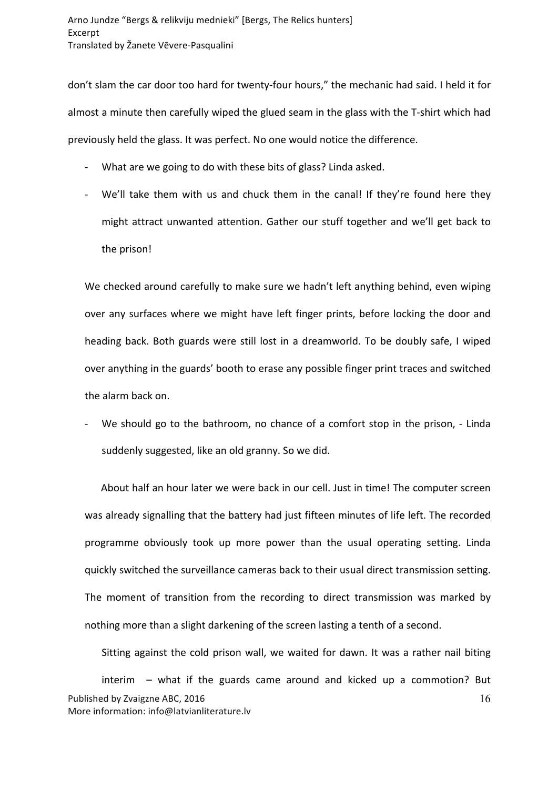don't slam the car door too hard for twenty-four hours," the mechanic had said. I held it for almost a minute then carefully wiped the glued seam in the glass with the T-shirt which had previously held the glass. It was perfect. No one would notice the difference.

- What are we going to do with these bits of glass? Linda asked.
- We'll take them with us and chuck them in the canal! If they're found here they might attract unwanted attention. Gather our stuff together and we'll get back to the prison!

We checked around carefully to make sure we hadn't left anything behind, even wiping over any surfaces where we might have left finger prints, before locking the door and heading back. Both guards were still lost in a dreamworld. To be doubly safe, I wiped over anything in the guards' booth to erase any possible finger print traces and switched the alarm back on.

We should go to the bathroom, no chance of a comfort stop in the prison, - Linda suddenly suggested, like an old granny. So we did.

About half an hour later we were back in our cell. Just in time! The computer screen was already signalling that the battery had just fifteen minutes of life left. The recorded programme obviously took up more power than the usual operating setting. Linda quickly switched the surveillance cameras back to their usual direct transmission setting. The moment of transition from the recording to direct transmission was marked by nothing more than a slight darkening of the screen lasting a tenth of a second.

Published by Zvaigzne ABC, 2016 More information: info@latvianliterature.lv 16 Sitting against the cold prison wall, we waited for dawn. It was a rather nail biting  $interim -$  what if the guards came around and kicked up a commotion? But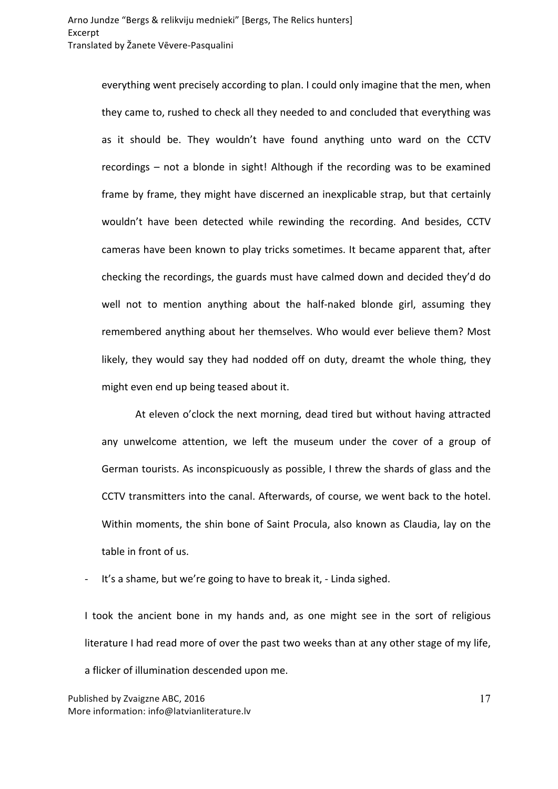everything went precisely according to plan. I could only imagine that the men, when they came to, rushed to check all they needed to and concluded that everything was as it should be. They wouldn't have found anything unto ward on the CCTV recordings  $-$  not a blonde in sight! Although if the recording was to be examined frame by frame, they might have discerned an inexplicable strap, but that certainly wouldn't have been detected while rewinding the recording. And besides, CCTV cameras have been known to play tricks sometimes. It became apparent that, after checking the recordings, the guards must have calmed down and decided they'd do well not to mention anything about the half-naked blonde girl, assuming they remembered anything about her themselves. Who would ever believe them? Most likely, they would say they had nodded off on duty, dreamt the whole thing, they might even end up being teased about it.

At eleven o'clock the next morning, dead tired but without having attracted any unwelcome attention, we left the museum under the cover of a group of German tourists. As inconspicuously as possible, I threw the shards of glass and the CCTV transmitters into the canal. Afterwards, of course, we went back to the hotel. Within moments, the shin bone of Saint Procula, also known as Claudia, lay on the table in front of us.

- It's a shame, but we're going to have to break it, - Linda sighed.

I took the ancient bone in my hands and, as one might see in the sort of religious literature I had read more of over the past two weeks than at any other stage of my life, a flicker of illumination descended upon me.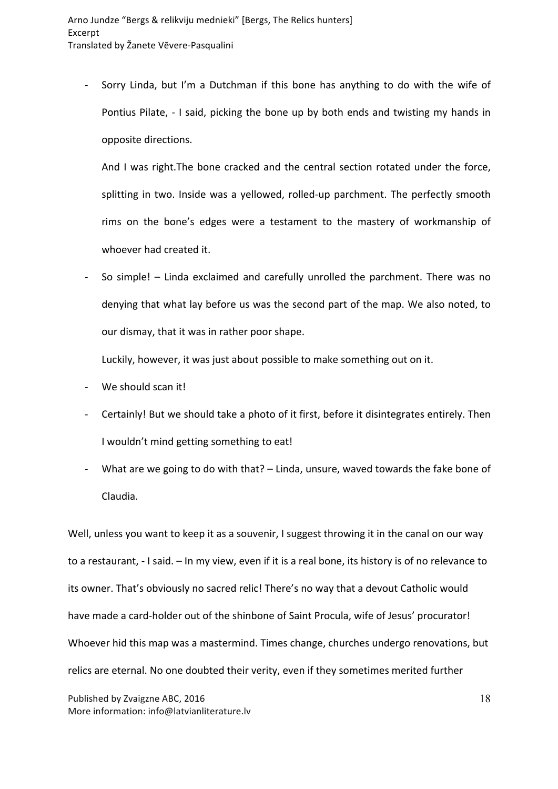- Sorry Linda, but I'm a Dutchman if this bone has anything to do with the wife of Pontius Pilate, - I said, picking the bone up by both ends and twisting my hands in opposite directions.

And I was right. The bone cracked and the central section rotated under the force, splitting in two. Inside was a yellowed, rolled-up parchment. The perfectly smooth rims on the bone's edges were a testament to the mastery of workmanship of whoever had created it.

So simple! – Linda exclaimed and carefully unrolled the parchment. There was no denying that what lay before us was the second part of the map. We also noted, to our dismay, that it was in rather poor shape.

Luckily, however, it was just about possible to make something out on it.

- We should scan it!
- Certainly! But we should take a photo of it first, before it disintegrates entirely. Then I wouldn't mind getting something to eat!
- What are we going to do with that? Linda, unsure, waved towards the fake bone of Claudia.

Well, unless you want to keep it as a souvenir, I suggest throwing it in the canal on our way to a restaurant, - I said. - In my view, even if it is a real bone, its history is of no relevance to its owner. That's obviously no sacred relic! There's no way that a devout Catholic would have made a card-holder out of the shinbone of Saint Procula, wife of Jesus' procurator! Whoever hid this map was a mastermind. Times change, churches undergo renovations, but relics are eternal. No one doubted their verity, even if they sometimes merited further